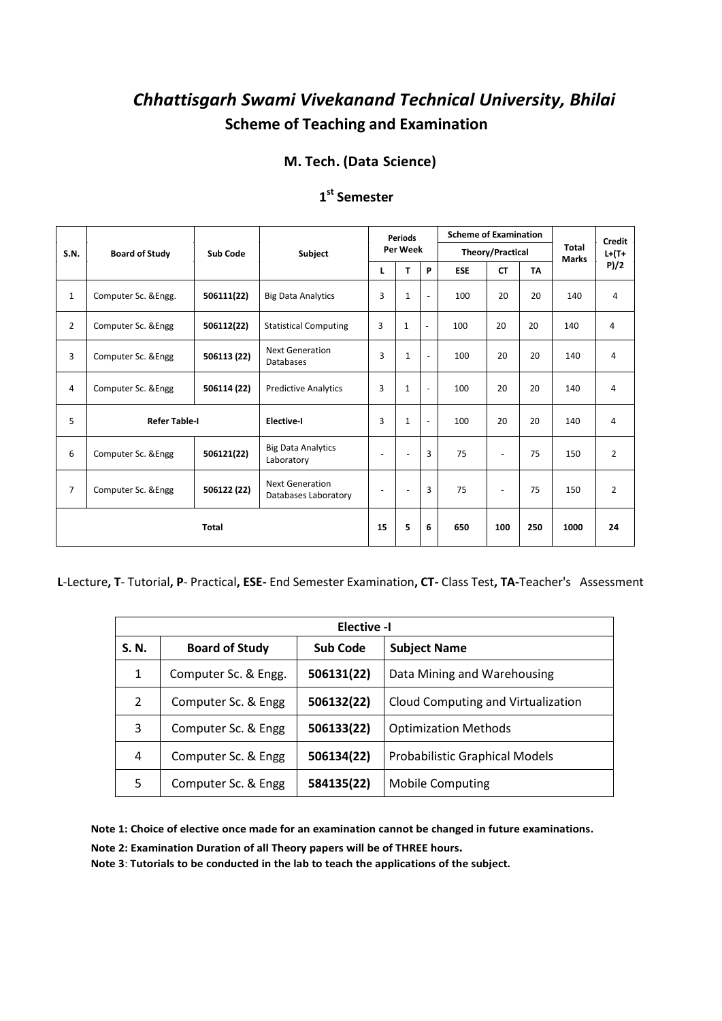#### **M. Tech. (Data Science)**

|                           |                       |                   |                                         | <b>Periods</b>       |                          |                          | <b>Scheme of Examination</b> |                          |                                                     | <b>Credit</b> |                |
|---------------------------|-----------------------|-------------------|-----------------------------------------|----------------------|--------------------------|--------------------------|------------------------------|--------------------------|-----------------------------------------------------|---------------|----------------|
| S.N.                      | <b>Board of Study</b> | Sub Code          | Subject                                 |                      | Per Week                 |                          |                              | Theory/Practical         | <b>Total</b><br><b>Marks</b>                        | $L + (T +$    |                |
|                           |                       |                   |                                         | L                    | T                        | P                        | <b>ESE</b>                   | <b>CT</b>                | <b>TA</b><br>20<br>20<br>20<br>20<br>20<br>75<br>75 |               | P)/2           |
| $\mathbf{1}$              | Computer Sc. & Engg.  | 506111(22)        | <b>Big Data Analytics</b>               | 3                    | $\mathbf{1}$             | $\blacksquare$           | 100                          | 20                       |                                                     | 140           | 4              |
| 2                         | Computer Sc. & Engg   | 506112(22)        | <b>Statistical Computing</b>            | 3                    | $\mathbf{1}$             | $\sim$                   | 100                          | 20                       |                                                     | 140           | $\overline{4}$ |
| 3                         | Computer Sc. & Engg   | 506113 (22)       | <b>Next Generation</b><br>Databases     | 3                    | $\mathbf{1}$             | $\blacksquare$           | 100                          | 20                       |                                                     | 140           | 4              |
| 4                         | Computer Sc. & Engg   | 506114 (22)       | <b>Predictive Analytics</b>             | 3                    | $\mathbf{1}$             | $\overline{\phantom{a}}$ | 100                          | 20                       |                                                     | 140           | $\overline{4}$ |
| 5<br><b>Refer Table-I</b> |                       | <b>Elective-I</b> | 3                                       | $\mathbf 1$          | $\overline{\phantom{a}}$ | 100                      | 20                           |                          | 140                                                 | 4             |                |
| 6                         | Computer Sc. & Engg   | 506121(22)        | <b>Big Data Analytics</b><br>Laboratory | $\blacksquare$       | ٠                        | 3                        | 75                           | $\overline{\phantom{a}}$ |                                                     | 150           | $\overline{2}$ |
| $\overline{7}$            | Computer Sc. & Engg   | 506122 (22)       | Next Generation<br>Databases Laboratory | $\ddot{\phantom{1}}$ | $\overline{\phantom{a}}$ | 3                        | 75                           | $\blacksquare$           |                                                     | 150           | $\overline{2}$ |
| <b>Total</b>              |                       |                   | 15                                      | 5                    | 6                        | 650                      | 100                          | 250                      | 1000                                                | 24            |                |

### **1 st Semester**

**L**-Lecture**, T**- Tutorial**, P**- Practical**, ESE-** End Semester Examination**, CT-** Class Test**, TA-**Teacher's Assessment

|               | <b>Elective -I</b>    |            |                                       |  |  |  |  |  |  |  |  |
|---------------|-----------------------|------------|---------------------------------------|--|--|--|--|--|--|--|--|
| S. N.         | <b>Board of Study</b> | Sub Code   | <b>Subject Name</b>                   |  |  |  |  |  |  |  |  |
| 1             | Computer Sc. & Engg.  | 506131(22) | Data Mining and Warehousing           |  |  |  |  |  |  |  |  |
| $\mathcal{P}$ | Computer Sc. & Engg   | 506132(22) | Cloud Computing and Virtualization    |  |  |  |  |  |  |  |  |
| 3             | Computer Sc. & Engg   | 506133(22) | <b>Optimization Methods</b>           |  |  |  |  |  |  |  |  |
| 4             | Computer Sc. & Engg   | 506134(22) | <b>Probabilistic Graphical Models</b> |  |  |  |  |  |  |  |  |
| 5             | Computer Sc. & Engg   | 584135(22) | <b>Mobile Computing</b>               |  |  |  |  |  |  |  |  |

**Note 1: Choice of elective once made for an examination cannot be changed in future examinations.**

**Note 2: Examination Duration of all Theory papers will be of THREE hours.**

**Note 3**: **Tutorials to be conducted in the lab to teach the applications of the subject.**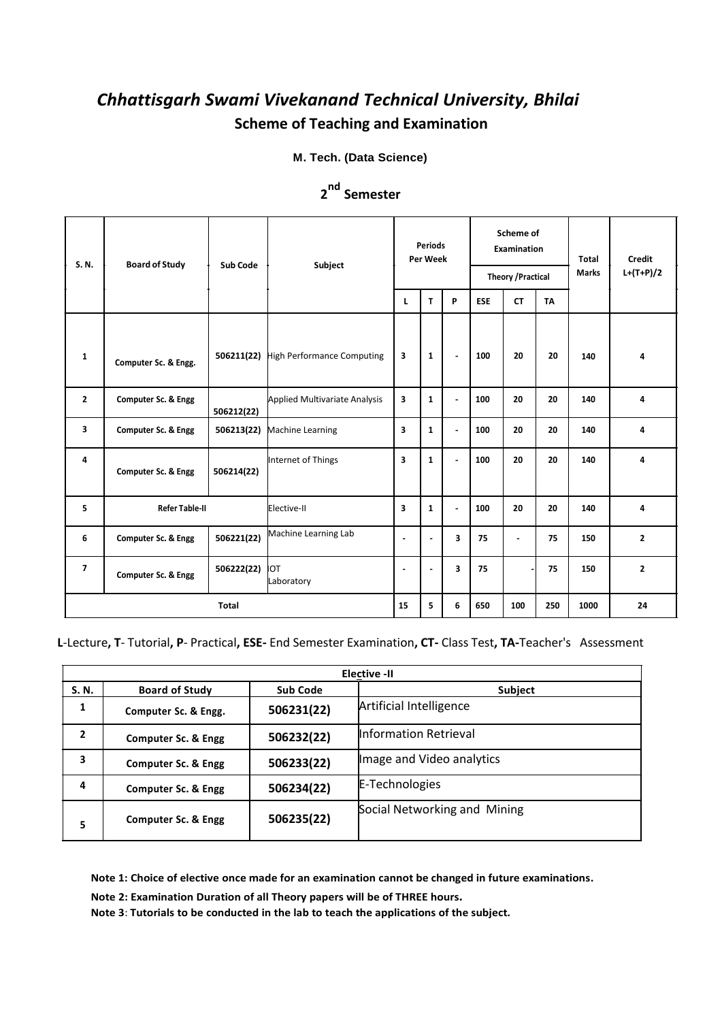**M. Tech. (Data Science)**

| S. N.<br><b>Board of Study</b> |                                | <b>Sub Code</b> | Subject                              |                | <b>Periods</b><br>Per Week |                |            | Scheme of<br><b>Examination</b><br><b>Theory / Practical</b> |           |     | Credit<br>$L+(T+P)/2$ |
|--------------------------------|--------------------------------|-----------------|--------------------------------------|----------------|----------------------------|----------------|------------|--------------------------------------------------------------|-----------|-----|-----------------------|
|                                |                                |                 |                                      | L              | T.                         | P              | <b>ESE</b> | <b>CT</b>                                                    | <b>TA</b> |     |                       |
| $\mathbf{1}$                   | Computer Sc. & Engg.           | 506211(22)      | <b>High Performance Computing</b>    | 3              | 1                          | $\blacksquare$ | 100        | 20                                                           | 20        | 140 | 4                     |
| $\overline{2}$                 | Computer Sc. & Engg            | 506212(22)      | <b>Applied Multivariate Analysis</b> | 3              | $\mathbf{1}$               | ÷.             | 100        | 20                                                           | 20        | 140 | $\overline{4}$        |
| 3                              | <b>Computer Sc. &amp; Engg</b> | 506213(22)      | Machine Learning                     | 3              | $\mathbf{1}$               | $\blacksquare$ | 100        | 20                                                           | 20        | 140 | 4                     |
| 4                              | <b>Computer Sc. &amp; Engg</b> | 506214(22)      | Internet of Things                   | 3              | $\mathbf{1}$               | ÷.             | 100        | 20                                                           | 20        | 140 | 4                     |
| 5                              | <b>Refer Table-II</b>          |                 | Elective-II                          | 3              | $\mathbf{1}$               | ÷              | 100        | 20                                                           | 20        | 140 | 4                     |
| 6                              | <b>Computer Sc. &amp; Engg</b> | 506221(22)      | Machine Learning Lab                 | ä,             | $\blacksquare$             | 3              | 75         | ä,                                                           | 75        | 150 | $\overline{2}$        |
| $\overline{7}$                 | Computer Sc. & Engg            | 506222(22)      | Iот<br>Laboratory                    | $\blacksquare$ | $\blacksquare$             | 3              | 75         |                                                              | 75        | 150 | $\overline{2}$        |
| <b>Total</b>                   |                                | 15              | 5                                    | 6              | 650                        | 100            | 250        | 1000                                                         | 24        |     |                       |

### **2 Semester nd**

#### **L**-Lecture**, T**- Tutorial**, P**- Practical**, ESE-** End Semester Examination**, CT-** Class Test**, TA-**Teacher's Assessment

|                | <b>Elective -II</b>            |                 |                              |  |  |  |  |  |  |  |  |  |
|----------------|--------------------------------|-----------------|------------------------------|--|--|--|--|--|--|--|--|--|
| S. N.          | <b>Board of Study</b>          | <b>Sub Code</b> | Subject                      |  |  |  |  |  |  |  |  |  |
| 1              | Computer Sc. & Engg.           | 506231(22)      | Artificial Intelligence      |  |  |  |  |  |  |  |  |  |
| $\overline{2}$ | Computer Sc. & Engg            | 506232(22)      | Information Retrieval        |  |  |  |  |  |  |  |  |  |
| 3              | Computer Sc. & Engg            | 506233(22)      | Image and Video analytics    |  |  |  |  |  |  |  |  |  |
| 4              | Computer Sc. & Engg            | 506234(22)      | E-Technologies               |  |  |  |  |  |  |  |  |  |
| 5              | <b>Computer Sc. &amp; Engg</b> | 506235(22)      | Social Networking and Mining |  |  |  |  |  |  |  |  |  |

**Note 1: Choice of elective once made for an examination cannot be changed in future examinations.**

**Note 2: Examination Duration of all Theory papers will be of THREE hours.**

**Note 3**: **Tutorials to be conducted in the lab to teach the applications of the subject.**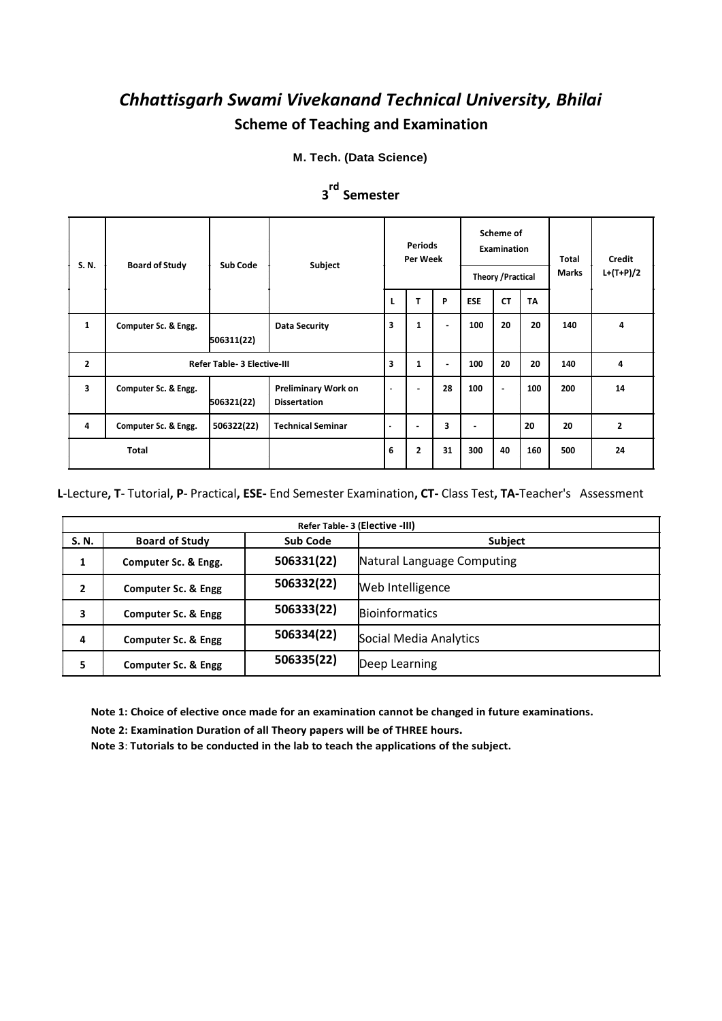**M. Tech. (Data Science)**

| S.N.           | <b>Board of Study</b>              | Sub Code   | Subject                                           |                | <b>Periods</b><br>Per Week |                | Scheme of<br><b>Examination</b><br><b>Theory / Practical</b> |                |           | Total<br><b>Marks</b> | Credit<br>$L+(T+P)/2$ |
|----------------|------------------------------------|------------|---------------------------------------------------|----------------|----------------------------|----------------|--------------------------------------------------------------|----------------|-----------|-----------------------|-----------------------|
|                |                                    |            |                                                   | L              | T                          | P              | <b>ESE</b>                                                   | <b>CT</b>      | <b>TA</b> |                       |                       |
| $\mathbf{1}$   | Computer Sc. & Engg.               | 506311(22) | <b>Data Security</b>                              | 3              | 1                          | $\blacksquare$ | 100                                                          | 20             | 20        | 140                   | 4                     |
| $\overline{2}$ | <b>Refer Table- 3 Elective-III</b> |            |                                                   | 3              | $\mathbf{1}$               | ٠              | 100                                                          | 20             | 20        | 140                   | 4                     |
| 3              | Computer Sc. & Engg.               | 506321(22) | <b>Preliminary Work on</b><br><b>Dissertation</b> | $\bullet$      | $\blacksquare$             | 28             | 100                                                          | $\blacksquare$ | 100       | 200                   | 14                    |
| 4              | Computer Sc. & Engg.               | 506322(22) | <b>Technical Seminar</b>                          | $\blacksquare$ | $\overline{\phantom{a}}$   | 3              | ۰                                                            |                | 20        | 20                    | $\mathbf{2}$          |
| <b>Total</b>   |                                    |            | 6                                                 | $\overline{2}$ | 31                         | 300            | 40                                                           | 160            | 500       | 24                    |                       |

### **3 Semester rd**

**L**-Lecture**, T**- Tutorial**, P**- Practical**, ESE-** End Semester Examination**, CT-** Class Test**, TA-**Teacher's Assessment

| Refer Table-3 (Elective -III) |                       |                 |                            |  |  |  |  |  |  |
|-------------------------------|-----------------------|-----------------|----------------------------|--|--|--|--|--|--|
| S. N.                         | <b>Board of Study</b> | <b>Sub Code</b> | Subject                    |  |  |  |  |  |  |
| 1                             | Computer Sc. & Engg.  | 506331(22)      | Natural Language Computing |  |  |  |  |  |  |
| 2                             | Computer Sc. & Engg   | 506332(22)      | Web Intelligence           |  |  |  |  |  |  |
| 3                             | Computer Sc. & Engg   | 506333(22)      | <b>Bioinformatics</b>      |  |  |  |  |  |  |
| 4                             | Computer Sc. & Engg   | 506334(22)      | Social Media Analytics     |  |  |  |  |  |  |
| 5                             | Computer Sc. & Engg   | 506335(22)      | Deep Learning              |  |  |  |  |  |  |

**Note 1: Choice of elective once made for an examination cannot be changed in future examinations.**

**Note 2: Examination Duration of all Theory papers will be of THREE hours.**

**Note 3**: **Tutorials to be conducted in the lab to teach the applications of the subject.**